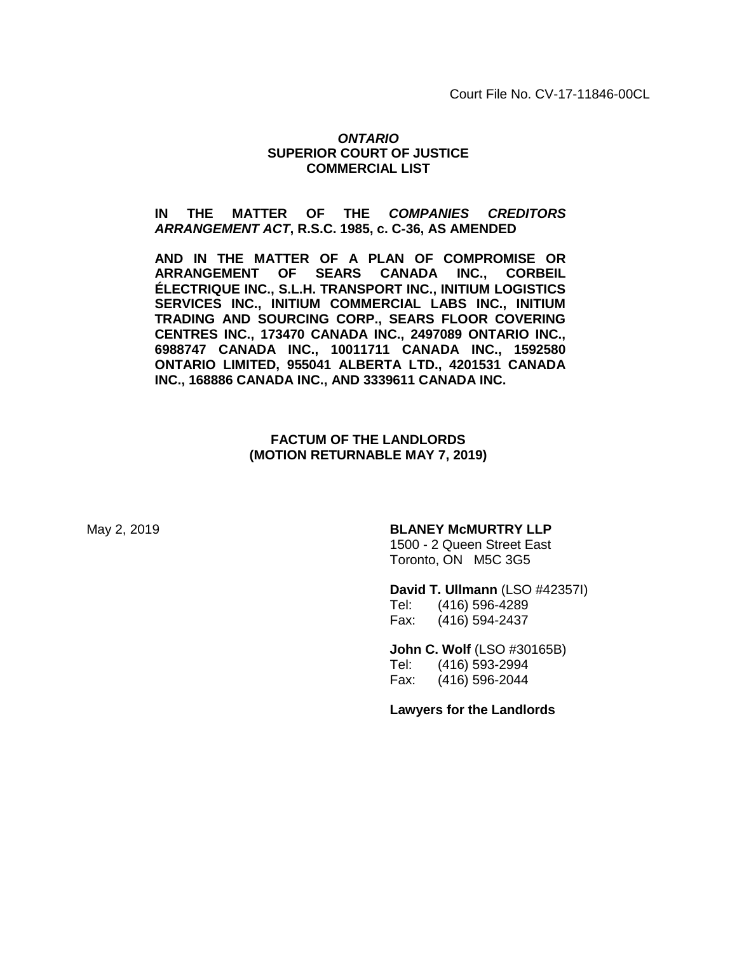Court File No. CV-17-11846-00CL

#### *ONTARIO*  **SUPERIOR COURT OF JUSTICE COMMERCIAL LIST**

#### **IN THE MATTER OF THE** *COMPANIES CREDITORS ARRANGEMENT ACT***, R.S.C. 1985, c. C-36, AS AMENDED**

**AND IN THE MATTER OF A PLAN OF COMPROMISE OR ARRANGEMENT OF SEARS CANADA INC., CORBEIL ÉLECTRIQUE INC., S.L.H. TRANSPORT INC., INITIUM LOGISTICS SERVICES INC., INITIUM COMMERCIAL LABS INC., INITIUM TRADING AND SOURCING CORP., SEARS FLOOR COVERING CENTRES INC., 173470 CANADA INC., 2497089 ONTARIO INC., 6988747 CANADA INC., 10011711 CANADA INC., 1592580 ONTARIO LIMITED, 955041 ALBERTA LTD., 4201531 CANADA INC., 168886 CANADA INC., AND 3339611 CANADA INC.**

#### **FACTUM OF THE LANDLORDS (MOTION RETURNABLE MAY 7, 2019)**

#### May 2, 2019 **BLANEY McMURTRY LLP**

1500 - 2 Queen Street East Toronto, ON M5C 3G5

**David T. Ullmann** (LSO #42357I)

Tel: (416) 596-4289 Fax: (416) 594-2437

**John C. Wolf** (LSO #30165B) Tel: (416) 593-2994 Fax: (416) 596-2044

**Lawyers for the Landlords**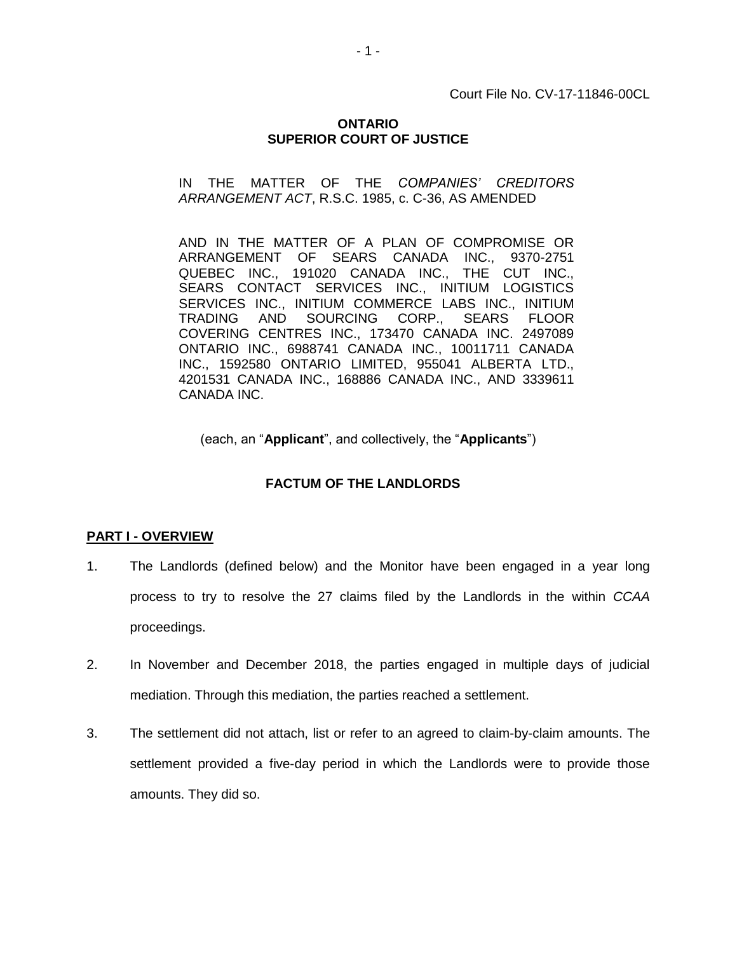Court File No. CV-17-11846-00CL

#### **ONTARIO SUPERIOR COURT OF JUSTICE**

IN THE MATTER OF THE *COMPANIES' CREDITORS ARRANGEMENT ACT*, R.S.C. 1985, c. C-36, AS AMENDED

AND IN THE MATTER OF A PLAN OF COMPROMISE OR ARRANGEMENT OF SEARS CANADA INC., 9370-2751 QUEBEC INC., 191020 CANADA INC., THE CUT INC., SEARS CONTACT SERVICES INC., INITIUM LOGISTICS SERVICES INC., INITIUM COMMERCE LABS INC., INITIUM TRADING AND SOURCING CORP., SEARS FLOOR COVERING CENTRES INC., 173470 CANADA INC. 2497089 ONTARIO INC., 6988741 CANADA INC., 10011711 CANADA INC., 1592580 ONTARIO LIMITED, 955041 ALBERTA LTD., 4201531 CANADA INC., 168886 CANADA INC., AND 3339611 CANADA INC.

(each, an "**Applicant**", and collectively, the "**Applicants**")

#### **FACTUM OF THE LANDLORDS**

#### **PART I - OVERVIEW**

- 1. The Landlords (defined below) and the Monitor have been engaged in a year long process to try to resolve the 27 claims filed by the Landlords in the within *CCAA* proceedings.
- 2. In November and December 2018, the parties engaged in multiple days of judicial mediation. Through this mediation, the parties reached a settlement.
- 3. The settlement did not attach, list or refer to an agreed to claim-by-claim amounts. The settlement provided a five-day period in which the Landlords were to provide those amounts. They did so.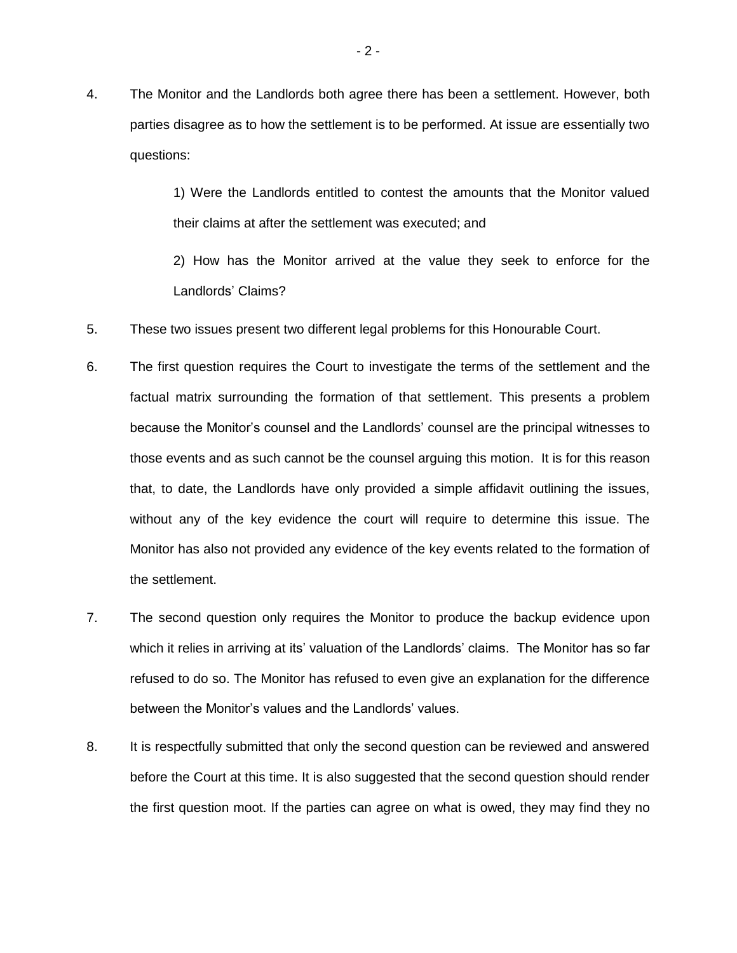4. The Monitor and the Landlords both agree there has been a settlement. However, both parties disagree as to how the settlement is to be performed. At issue are essentially two questions:

> 1) Were the Landlords entitled to contest the amounts that the Monitor valued their claims at after the settlement was executed; and

> 2) How has the Monitor arrived at the value they seek to enforce for the Landlords' Claims?

- 5. These two issues present two different legal problems for this Honourable Court.
- 6. The first question requires the Court to investigate the terms of the settlement and the factual matrix surrounding the formation of that settlement. This presents a problem because the Monitor's counsel and the Landlords' counsel are the principal witnesses to those events and as such cannot be the counsel arguing this motion. It is for this reason that, to date, the Landlords have only provided a simple affidavit outlining the issues, without any of the key evidence the court will require to determine this issue. The Monitor has also not provided any evidence of the key events related to the formation of the settlement.
- 7. The second question only requires the Monitor to produce the backup evidence upon which it relies in arriving at its' valuation of the Landlords' claims. The Monitor has so far refused to do so. The Monitor has refused to even give an explanation for the difference between the Monitor's values and the Landlords' values.
- 8. It is respectfully submitted that only the second question can be reviewed and answered before the Court at this time. It is also suggested that the second question should render the first question moot. If the parties can agree on what is owed, they may find they no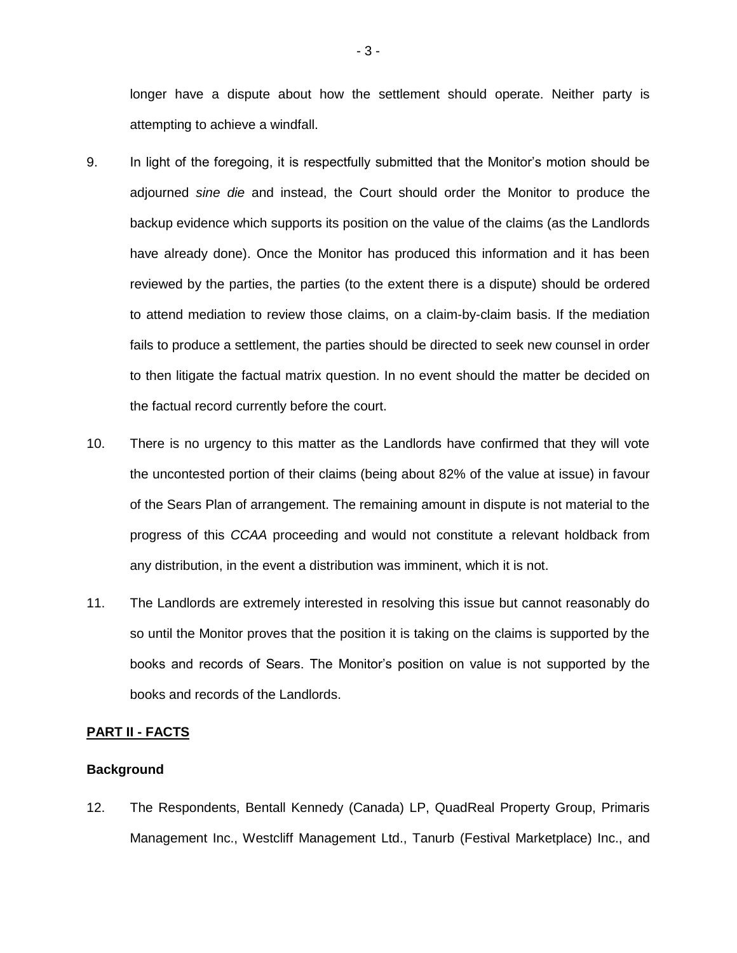longer have a dispute about how the settlement should operate. Neither party is attempting to achieve a windfall.

- 9. In light of the foregoing, it is respectfully submitted that the Monitor's motion should be adjourned *sine die* and instead, the Court should order the Monitor to produce the backup evidence which supports its position on the value of the claims (as the Landlords have already done). Once the Monitor has produced this information and it has been reviewed by the parties, the parties (to the extent there is a dispute) should be ordered to attend mediation to review those claims, on a claim-by-claim basis. If the mediation fails to produce a settlement, the parties should be directed to seek new counsel in order to then litigate the factual matrix question. In no event should the matter be decided on the factual record currently before the court.
- 10. There is no urgency to this matter as the Landlords have confirmed that they will vote the uncontested portion of their claims (being about 82% of the value at issue) in favour of the Sears Plan of arrangement. The remaining amount in dispute is not material to the progress of this *CCAA* proceeding and would not constitute a relevant holdback from any distribution, in the event a distribution was imminent, which it is not.
- 11. The Landlords are extremely interested in resolving this issue but cannot reasonably do so until the Monitor proves that the position it is taking on the claims is supported by the books and records of Sears. The Monitor's position on value is not supported by the books and records of the Landlords.

#### **PART II - FACTS**

#### **Background**

12. The Respondents, Bentall Kennedy (Canada) LP, QuadReal Property Group, Primaris Management Inc., Westcliff Management Ltd., Tanurb (Festival Marketplace) Inc., and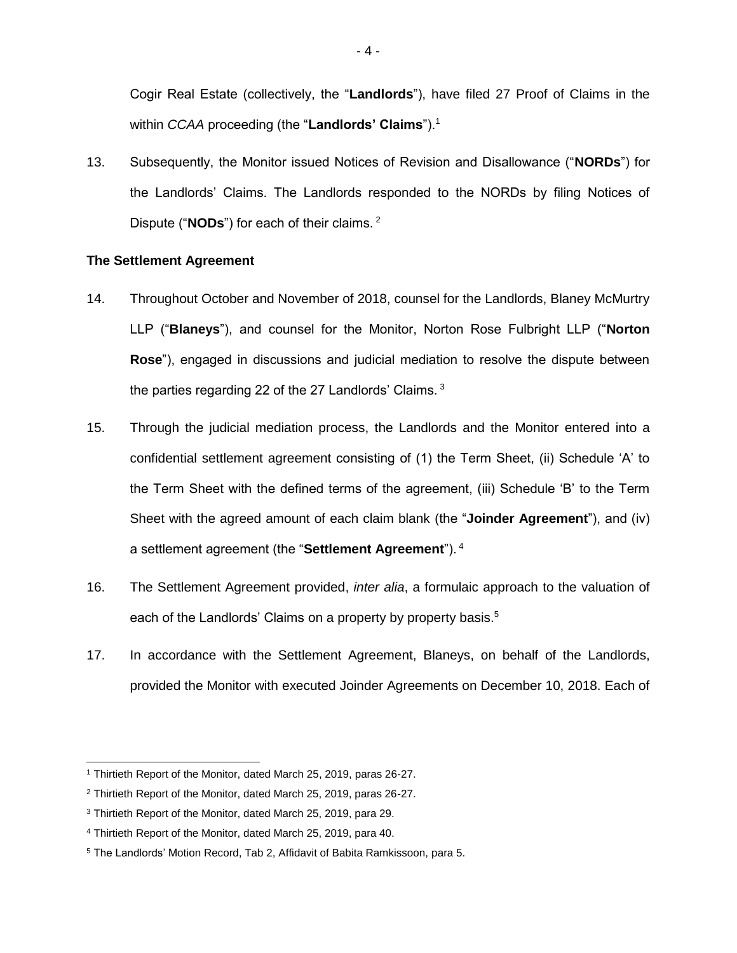Cogir Real Estate (collectively, the "**Landlords**"), have filed 27 Proof of Claims in the within *CCAA* proceeding (the "**Landlords' Claims**").<sup>1</sup>

13. Subsequently, the Monitor issued Notices of Revision and Disallowance ("**NORDs**") for the Landlords' Claims. The Landlords responded to the NORDs by filing Notices of Dispute ("**NODs**") for each of their claims. <sup>2</sup>

#### **The Settlement Agreement**

- 14. Throughout October and November of 2018, counsel for the Landlords, Blaney McMurtry LLP ("**Blaneys**"), and counsel for the Monitor, Norton Rose Fulbright LLP ("**Norton Rose**"), engaged in discussions and judicial mediation to resolve the dispute between the parties regarding 22 of the 27 Landlords' Claims.<sup>3</sup>
- 15. Through the judicial mediation process, the Landlords and the Monitor entered into a confidential settlement agreement consisting of (1) the Term Sheet, (ii) Schedule 'A' to the Term Sheet with the defined terms of the agreement, (iii) Schedule 'B' to the Term Sheet with the agreed amount of each claim blank (the "**Joinder Agreement**"), and (iv) a settlement agreement (the "**Settlement Agreement**"). <sup>4</sup>
- 16. The Settlement Agreement provided, *inter alia*, a formulaic approach to the valuation of each of the Landlords' Claims on a property by property basis.<sup>5</sup>
- 17. In accordance with the Settlement Agreement, Blaneys, on behalf of the Landlords, provided the Monitor with executed Joinder Agreements on December 10, 2018. Each of

 $\overline{a}$ 

<sup>1</sup> Thirtieth Report of the Monitor, dated March 25, 2019, paras 26-27.

<sup>2</sup> Thirtieth Report of the Monitor, dated March 25, 2019, paras 26-27.

<sup>3</sup> Thirtieth Report of the Monitor, dated March 25, 2019, para 29.

<sup>4</sup> Thirtieth Report of the Monitor, dated March 25, 2019, para 40.

<sup>5</sup> The Landlords' Motion Record, Tab 2, Affidavit of Babita Ramkissoon, para 5.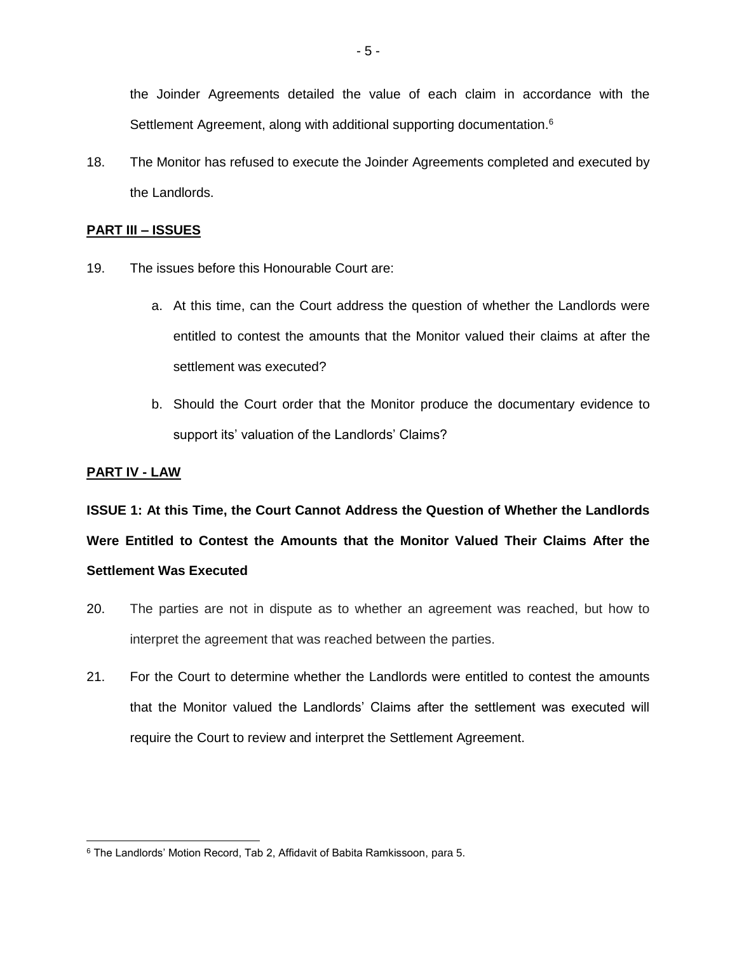the Joinder Agreements detailed the value of each claim in accordance with the Settlement Agreement, along with additional supporting documentation.<sup>6</sup>

18. The Monitor has refused to execute the Joinder Agreements completed and executed by the Landlords.

#### **PART III – ISSUES**

- 19. The issues before this Honourable Court are:
	- a. At this time, can the Court address the question of whether the Landlords were entitled to contest the amounts that the Monitor valued their claims at after the settlement was executed?
	- b. Should the Court order that the Monitor produce the documentary evidence to support its' valuation of the Landlords' Claims?

#### **PART IV - LAW**

**ISSUE 1: At this Time, the Court Cannot Address the Question of Whether the Landlords Were Entitled to Contest the Amounts that the Monitor Valued Their Claims After the Settlement Was Executed**

- 20. The parties are not in dispute as to whether an agreement was reached, but how to interpret the agreement that was reached between the parties.
- 21. For the Court to determine whether the Landlords were entitled to contest the amounts that the Monitor valued the Landlords' Claims after the settlement was executed will require the Court to review and interpret the Settlement Agreement.

<sup>6</sup> The Landlords' Motion Record, Tab 2, Affidavit of Babita Ramkissoon, para 5.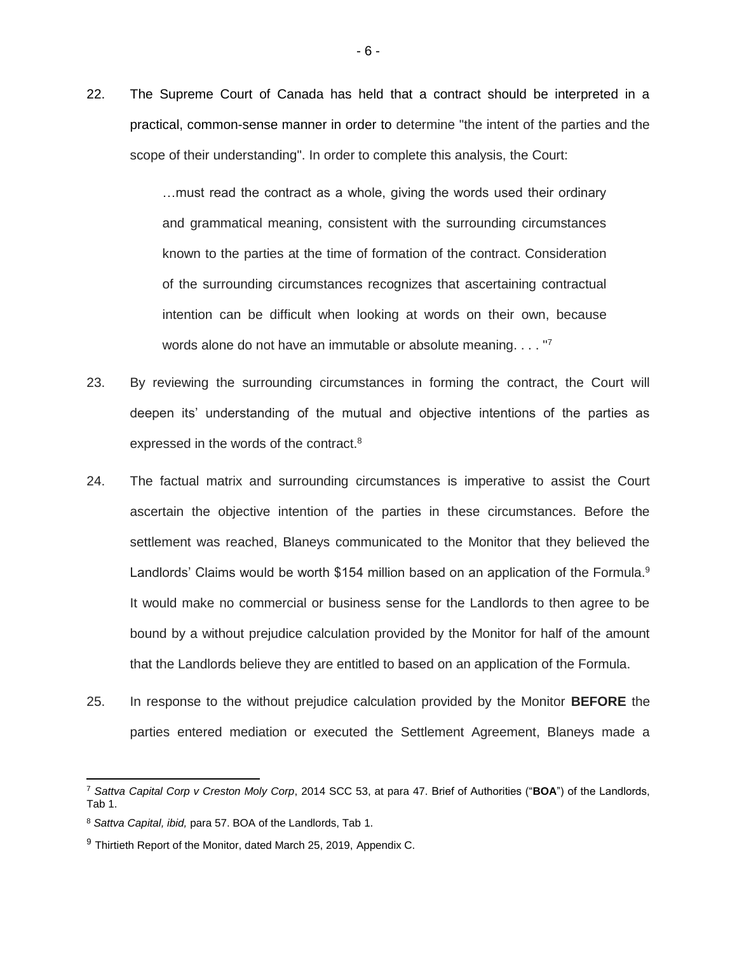22. The Supreme Court of Canada has held that a contract should be interpreted in a practical, common-sense manner in order to determine "the intent of the parties and the scope of their understanding". In order to complete this analysis, the Court:

> …must read the contract as a whole, giving the words used their ordinary and grammatical meaning, consistent with the surrounding circumstances known to the parties at the time of formation of the contract. Consideration of the surrounding circumstances recognizes that ascertaining contractual intention can be difficult when looking at words on their own, because words alone do not have an immutable or absolute meaning. . . . "7

- 23. By reviewing the surrounding circumstances in forming the contract, the Court will deepen its' understanding of the mutual and objective intentions of the parties as expressed in the words of the contract.<sup>8</sup>
- 24. The factual matrix and surrounding circumstances is imperative to assist the Court ascertain the objective intention of the parties in these circumstances. Before the settlement was reached, Blaneys communicated to the Monitor that they believed the Landlords' Claims would be worth \$154 million based on an application of the Formula.<sup>9</sup> It would make no commercial or business sense for the Landlords to then agree to be bound by a without prejudice calculation provided by the Monitor for half of the amount that the Landlords believe they are entitled to based on an application of the Formula.
- 25. In response to the without prejudice calculation provided by the Monitor **BEFORE** the parties entered mediation or executed the Settlement Agreement, Blaneys made a

<sup>7</sup> *Sattva Capital Corp v Creston Moly Corp*[, 2014 SCC 53, at p](https://nextcanada.westlaw.com/Link/Document/FullText?findType=Y&pubNum=6407&serNum=2033955121&originationContext=document&transitionType=DocumentItem&contextData=(sc.Keycite))ara 47. Brief of Authorities ("**BOA**") of the Landlords, Tab 1.

<sup>8</sup> *Sattva Capital, ibid,* para 57. BOA of the Landlords, Tab 1.

 $9$  Thirtieth Report of the Monitor, dated March 25, 2019, Appendix C.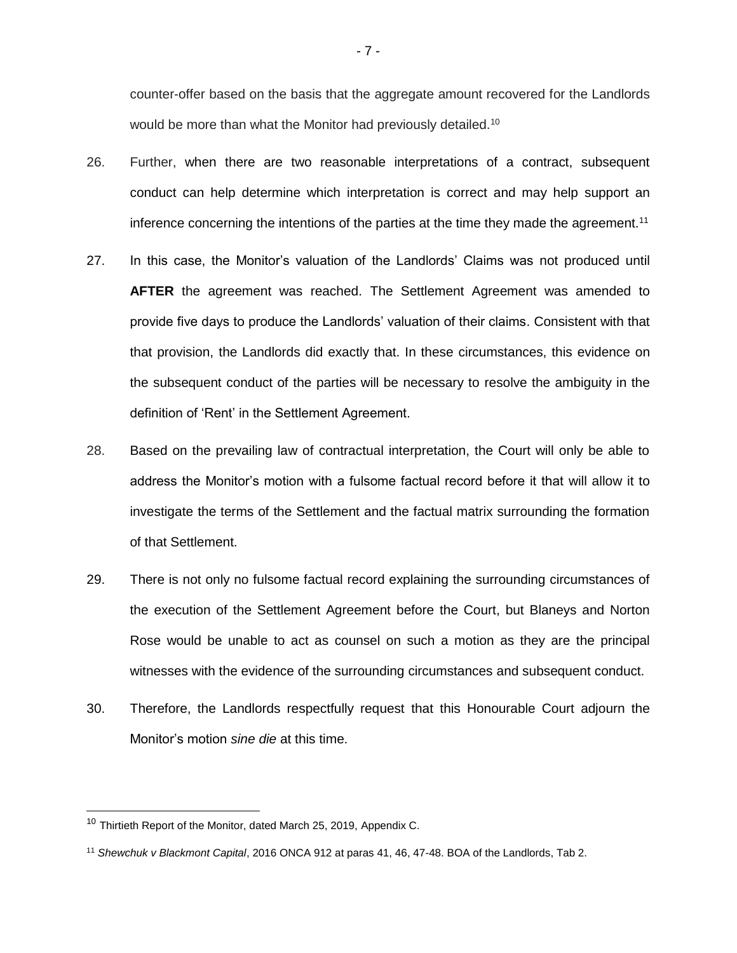counter-offer based on the basis that the aggregate amount recovered for the Landlords would be more than what the Monitor had previously detailed.<sup>10</sup>

- 26. Further, when there are two reasonable interpretations of a contract, subsequent conduct can help determine which interpretation is correct and may help support an inference concerning the intentions of the parties at the time they made the agreement.<sup>11</sup>
- 27. In this case, the Monitor's valuation of the Landlords' Claims was not produced until **AFTER** the agreement was reached. The Settlement Agreement was amended to provide five days to produce the Landlords' valuation of their claims. Consistent with that that provision, the Landlords did exactly that. In these circumstances, this evidence on the subsequent conduct of the parties will be necessary to resolve the ambiguity in the definition of 'Rent' in the Settlement Agreement.
- 28. Based on the prevailing law of contractual interpretation, the Court will only be able to address the Monitor's motion with a fulsome factual record before it that will allow it to investigate the terms of the Settlement and the factual matrix surrounding the formation of that Settlement.
- 29. There is not only no fulsome factual record explaining the surrounding circumstances of the execution of the Settlement Agreement before the Court, but Blaneys and Norton Rose would be unable to act as counsel on such a motion as they are the principal witnesses with the evidence of the surrounding circumstances and subsequent conduct.
- 30. Therefore, the Landlords respectfully request that this Honourable Court adjourn the Monitor's motion *sine die* at this time.

<sup>&</sup>lt;sup>10</sup> Thirtieth Report of the Monitor, dated March 25, 2019, Appendix C.

<sup>11</sup> *Shewchuk v Blackmont Capital*, 2016 ONCA 912 at paras 41, 46, 47-48. BOA of the Landlords, Tab 2.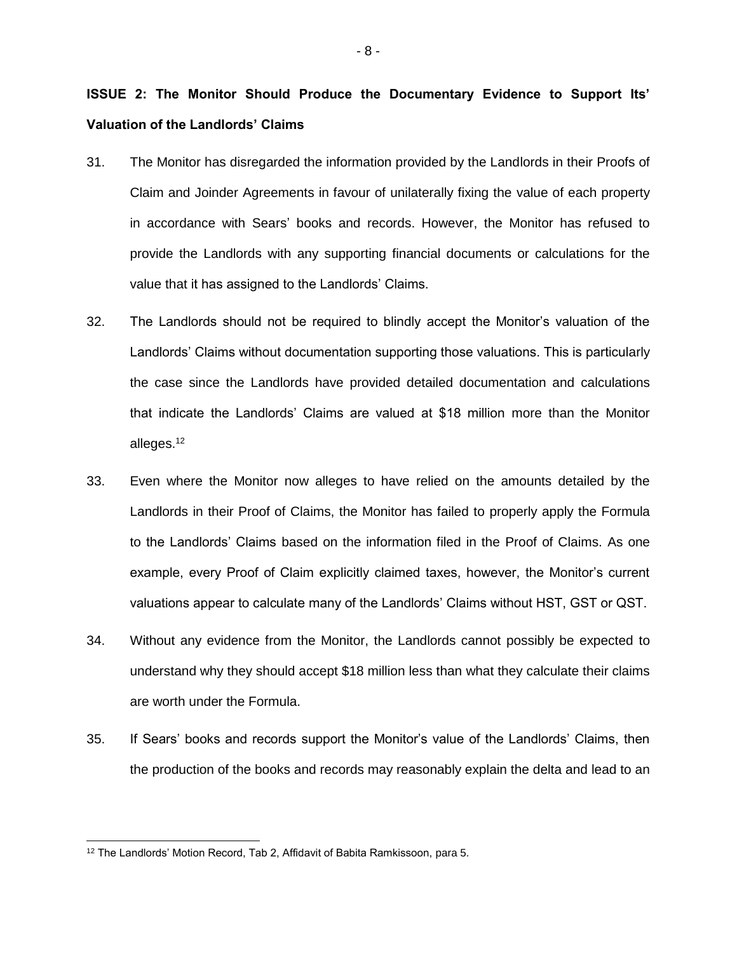# **ISSUE 2: The Monitor Should Produce the Documentary Evidence to Support Its' Valuation of the Landlords' Claims**

- 31. The Monitor has disregarded the information provided by the Landlords in their Proofs of Claim and Joinder Agreements in favour of unilaterally fixing the value of each property in accordance with Sears' books and records. However, the Monitor has refused to provide the Landlords with any supporting financial documents or calculations for the value that it has assigned to the Landlords' Claims.
- 32. The Landlords should not be required to blindly accept the Monitor's valuation of the Landlords' Claims without documentation supporting those valuations. This is particularly the case since the Landlords have provided detailed documentation and calculations that indicate the Landlords' Claims are valued at \$18 million more than the Monitor alleges.<sup>12</sup>
- 33. Even where the Monitor now alleges to have relied on the amounts detailed by the Landlords in their Proof of Claims, the Monitor has failed to properly apply the Formula to the Landlords' Claims based on the information filed in the Proof of Claims. As one example, every Proof of Claim explicitly claimed taxes, however, the Monitor's current valuations appear to calculate many of the Landlords' Claims without HST, GST or QST.
- 34. Without any evidence from the Monitor, the Landlords cannot possibly be expected to understand why they should accept \$18 million less than what they calculate their claims are worth under the Formula.
- 35. If Sears' books and records support the Monitor's value of the Landlords' Claims, then the production of the books and records may reasonably explain the delta and lead to an

<sup>&</sup>lt;sup>12</sup> The Landlords' Motion Record, Tab 2, Affidavit of Babita Ramkissoon, para 5.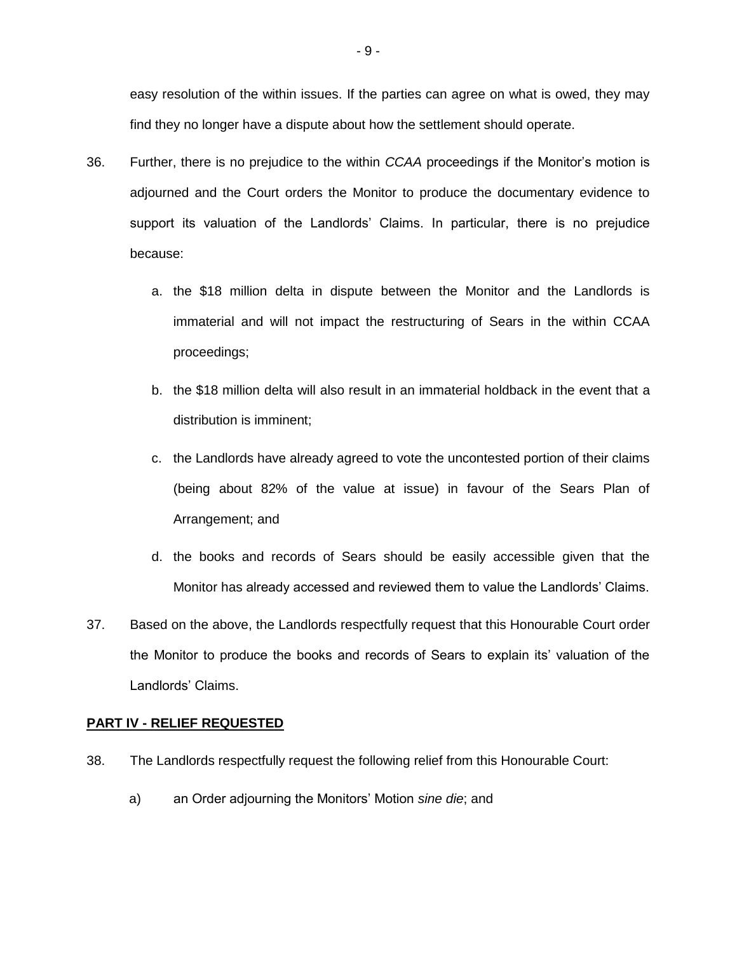easy resolution of the within issues. If the parties can agree on what is owed, they may find they no longer have a dispute about how the settlement should operate.

- 36. Further, there is no prejudice to the within *CCAA* proceedings if the Monitor's motion is adjourned and the Court orders the Monitor to produce the documentary evidence to support its valuation of the Landlords' Claims. In particular, there is no prejudice because:
	- a. the \$18 million delta in dispute between the Monitor and the Landlords is immaterial and will not impact the restructuring of Sears in the within CCAA proceedings;
	- b. the \$18 million delta will also result in an immaterial holdback in the event that a distribution is imminent;
	- c. the Landlords have already agreed to vote the uncontested portion of their claims (being about 82% of the value at issue) in favour of the Sears Plan of Arrangement; and
	- d. the books and records of Sears should be easily accessible given that the Monitor has already accessed and reviewed them to value the Landlords' Claims.
- 37. Based on the above, the Landlords respectfully request that this Honourable Court order the Monitor to produce the books and records of Sears to explain its' valuation of the Landlords' Claims.

### **PART IV - RELIEF REQUESTED**

- 38. The Landlords respectfully request the following relief from this Honourable Court:
	- a) an Order adjourning the Monitors' Motion *sine die*; and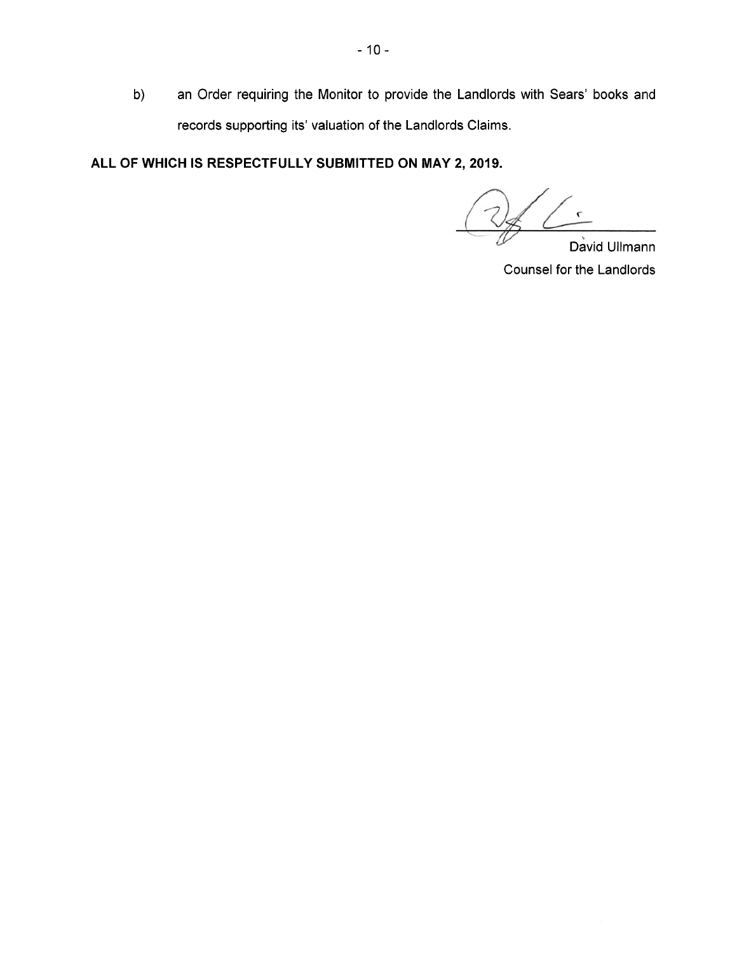$b)$ an Order requiring the Monitor to provide the Landlords with Sears' books and records supporting its' valuation of the Landlords Claims.

ALL OF WHICH IS RESPECTFULLY SUBMITTED ON MAY 2, 2019.

David Ullmann Counsel for the Landlords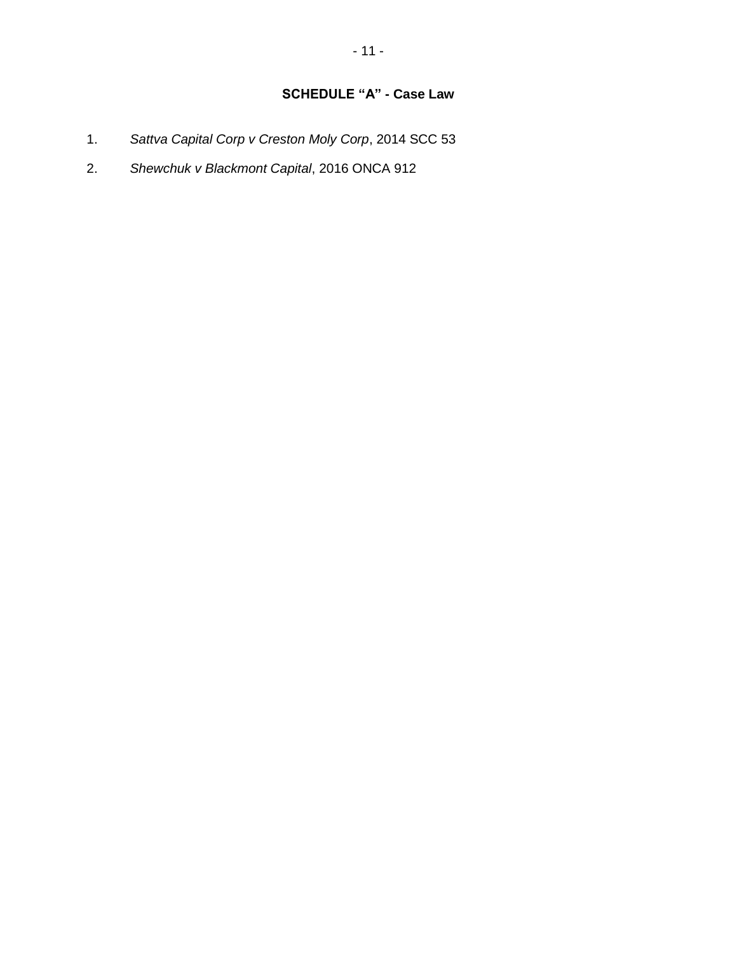- 1. *Sattva Capital Corp v Creston Moly Corp*[, 2014 SCC 53](https://nextcanada.westlaw.com/Link/Document/FullText?findType=Y&pubNum=6407&serNum=2033955121&originationContext=document&transitionType=DocumentItem&contextData=(sc.Keycite))
- 2. *Shewchuk v Blackmont Capital*, 2016 ONCA 912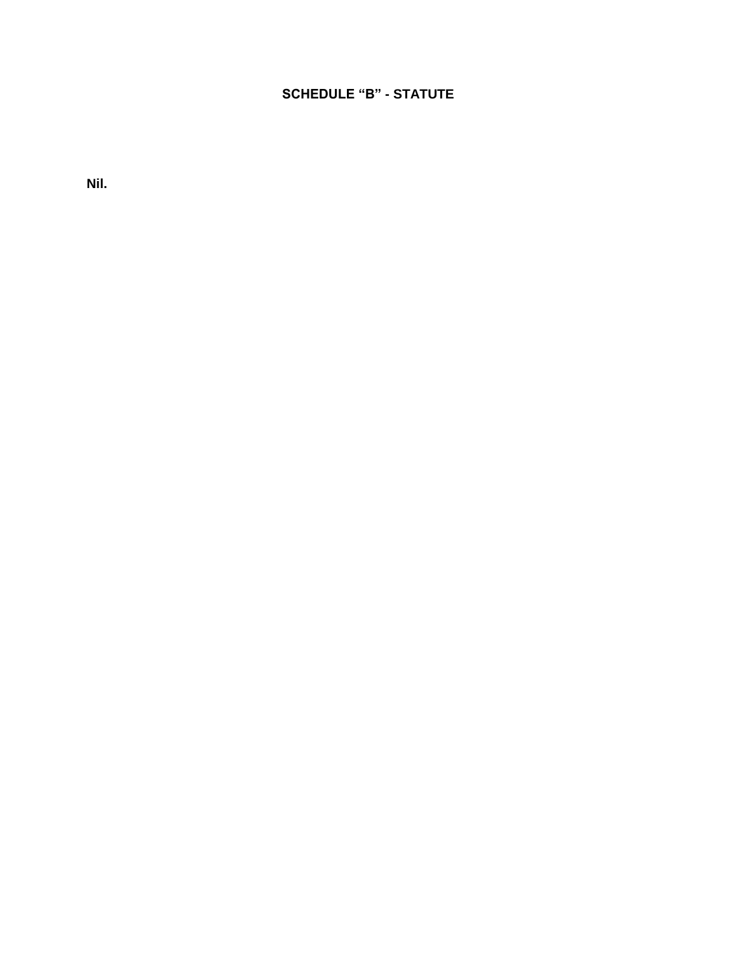## **SCHEDULE "B" - STATUTE**

**Nil.**